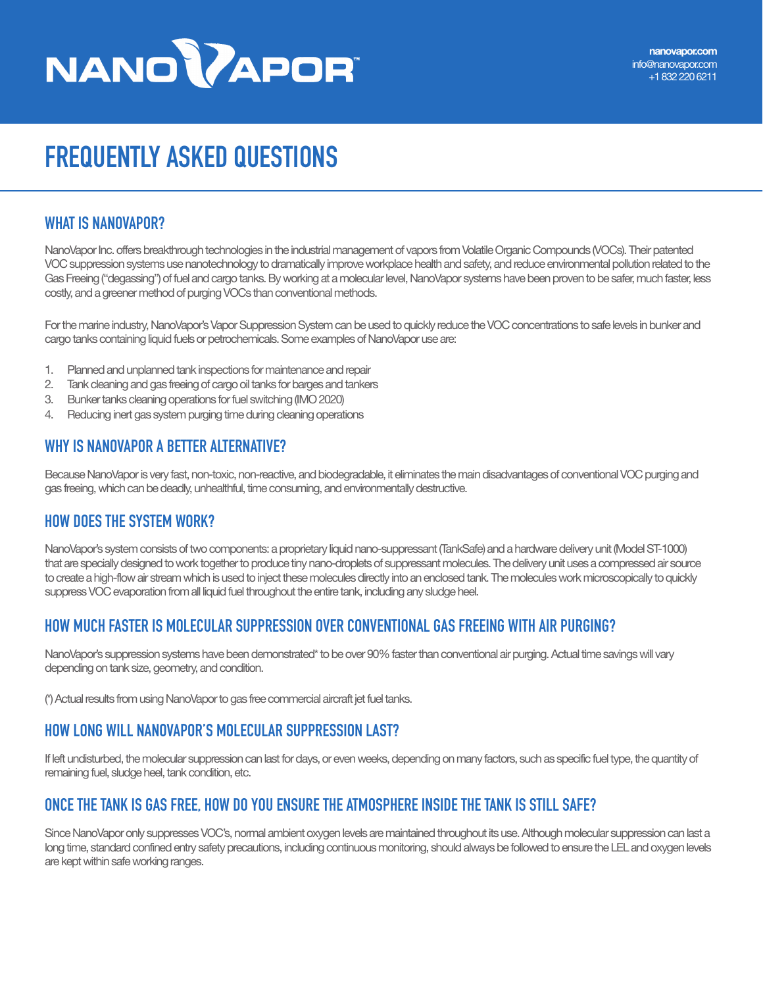# **NANOWAPORT**

# **FREQUENTLY ASKED QUESTIONS**

#### **WHAT IS NANOVAPOR?**

NanoVapor Inc. offers breakthrough technologies in the industrial management of vapors from Volatile Organic Compounds (VOCs). Their patented VOC suppression systems use nanotechnology to dramatically improve workplace health and safety, and reduce environmental pollution related to the Gas Freeing ("degassing") of fuel and cargo tanks. By working at a molecular level, NanoVapor systems have been proven to be safer, much faster, less costly, and a greener method of purging VOCs than conventional methods.

For the marine industry, NanoVapor's Vapor Suppression System can be used to quickly reduce the VOC concentrations to safe levels in bunker and cargo tanks containing liquid fuels or petrochemicals. Some examples of NanoVapor use are:

- 1. Planned and unplanned tank inspections for maintenance and repair
- 2. Tank cleaning and gas freeing of cargo oil tanks for barges and tankers
- 3. Bunker tanks cleaning operations for fuel switching (IMO 2020)
- 4. Reducing inert gas system purging time during cleaning operations

# **WHY IS NANOVAPOR A BETTER ALTERNATIVE?**

Because NanoVapor is very fast, non-toxic, non-reactive, and biodegradable, it eliminates the main disadvantages of conventional VOC purging and gas freeing, which can be deadly, unhealthful, time consuming, and environmentally destructive.

#### **HOW DOES THE SYSTEM WORK?**

NanoVapor's system consists of two components: a proprietary liquid nano-suppressant (TankSafe) and a hardware delivery unit (Model ST-1000) that are specially designed to work together to produce tiny nano-droplets of suppressant molecules. The delivery unit uses a compressed air source to create a high-flow air stream which is used to inject these molecules directly into an enclosed tank. The molecules work microscopically to quickly suppress VOC evaporation from all liquid fuel throughout the entire tank, including any sludge heel.

# **HOW MUCH FASTER IS MOLECULAR SUPPRESSION OVER CONVENTIONAL GAS FREEING WITH AIR PURGING?**

NanoVapor's suppression systems have been demonstrated\* to be over 90% faster than conventional air purging. Actual time savings will vary depending on tank size, geometry, and condition.

(\*) Actual results from using NanoVapor to gas free commercial aircraft jet fuel tanks.

# **HOW LONG WILL NANOVAPOR'S MOLECULAR SUPPRESSION LAST?**

If left undisturbed, the molecular suppression can last for days, or even weeks, depending on many factors, such as specific fuel type, the quantity of remaining fuel, sludge heel, tank condition, etc.

#### **ONCE THE TANK IS GAS FREE, HOW DO YOU ENSURE THE ATMOSPHERE INSIDE THE TANK IS STILL SAFE?**

Since NanoVapor only suppresses VOC's, normal ambient oxygen levels are maintained throughout its use. Although molecular suppression can last a long time, standard confined entry safety precautions, including continuous monitoring, should always be followed to ensure the LEL and oxygen levels are kept within safe working ranges.